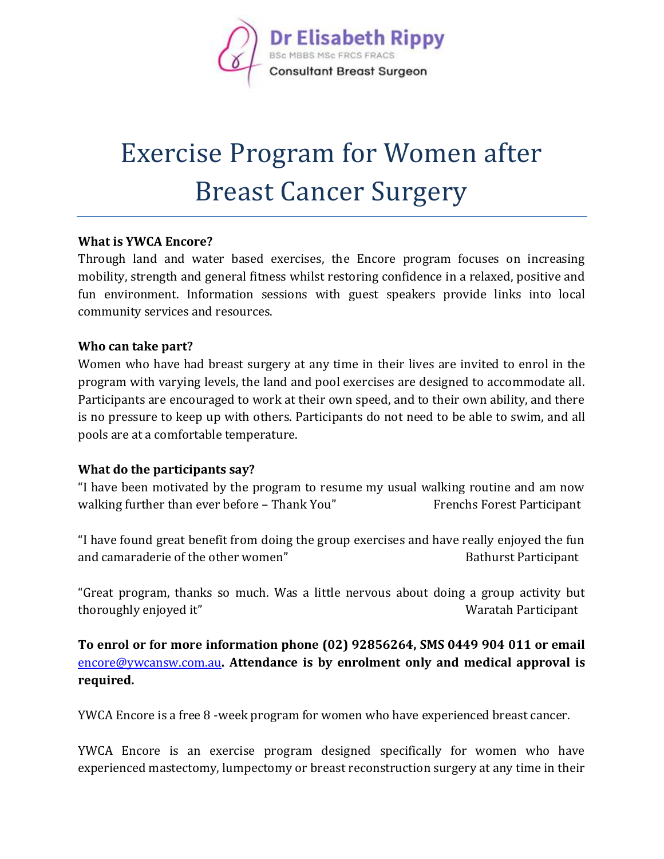

# Exercise Program for Women after Breast Cancer Surgery

### **What is YWCA Encore?**

Through land and water based exercises, the Encore program focuses on increasing mobility, strength and general fitness whilst restoring confidence in a relaxed, positive and fun environment. Information sessions with guest speakers provide links into local community services and resources.

### **Who can take part?**

Women who have had breast surgery at any time in their lives are invited to enrol in the program with varying levels, the land and pool exercises are designed to accommodate all. Participants are encouraged to work at their own speed, and to their own ability, and there is no pressure to keep up with others. Participants do not need to be able to swim, and all pools are at a comfortable temperature.

#### **What do the participants say?**

"I have been motivated by the program to resume my usual walking routine and am now walking further than ever before – Thank You" Frenchs Forest Participant

"I have found great benefit from doing the group exercises and have really enjoyed the fun and camaraderie of the other women" and camaraderie of the other women" Bathurst Participant

"Great program, thanks so much. Was a little nervous about doing a group activity but thoroughly enjoyed it" and the state of the Waratah Participant

**To enrol or for more information phone (02) 92856264, SMS 0449 904 011 or email**  [encore@ywcansw.com.au](mailto:encore@ywcansw.com.au)**. Attendance is by enrolment only and medical approval is required.**

YWCA Encore is a free 8 -week program for women who have experienced breast cancer.

YWCA Encore is an exercise program designed specifically for women who have experienced mastectomy, lumpectomy or breast reconstruction surgery at any time in their